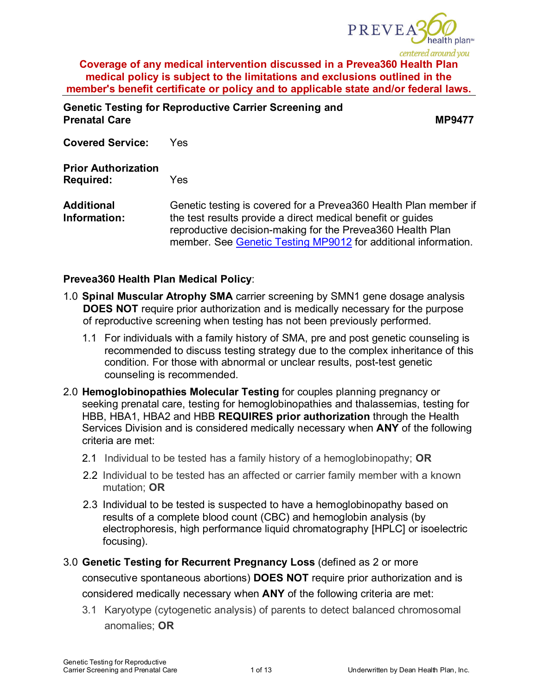

**Genetic Testing for Reproductive Carrier Screening and Prenatal Care MP9477** 

**Covered Service:** Yes

**Prior Authorization Required:** Yes

**Additional Information:** Genetic testing is covered for a Prevea360 Health Plan member if the test results provide a direct medical benefit or guides reproductive decision-making for the Prevea360 Health Plan member. See [Genetic Testing MP9012](https://www.prevea360.com/DocumentLibrary/PDF/Medical-Policies/Genetic-Testing-9012) for additional information.

## **Prevea360 Health Plan Medical Policy**:

- 1.0 **Spinal Muscular Atrophy SMA** carrier screening by SMN1 gene dosage analysis **DOES NOT** require prior authorization and is medically necessary for the purpose of reproductive screening when testing has not been previously performed.
	- 1.1 For individuals with a family history of SMA, pre and post genetic counseling is recommended to discuss testing strategy due to the complex inheritance of this condition. For those with abnormal or unclear results, post-test genetic counseling is recommended.
- 2.0 **Hemoglobinopathies Molecular Testing** for couples planning pregnancy or seeking prenatal care, testing for hemoglobinopathies and thalassemias, testing for HBB, HBA1, HBA2 and HBB **REQUIRES prior authorization** through the Health Services Division and is considered medically necessary when **ANY** of the following criteria are met:
	- 2.1 Individual to be tested has a family history of a hemoglobinopathy; **OR**
	- 2.2 Individual to be tested has an affected or carrier family member with a known mutation; **OR**
	- 2.3 Individual to be tested is suspected to have a hemoglobinopathy based on results of a complete blood count (CBC) and hemoglobin analysis (by electrophoresis, high performance liquid chromatography [HPLC] or isoelectric focusing).

3.0 **Genetic Testing for Recurrent Pregnancy Loss** (defined as 2 or more consecutive spontaneous abortions) **DOES NOT** require prior authorization and is considered medically necessary when **ANY** of the following criteria are met:

3.1 Karyotype (cytogenetic analysis) of parents to detect balanced chromosomal anomalies; **OR**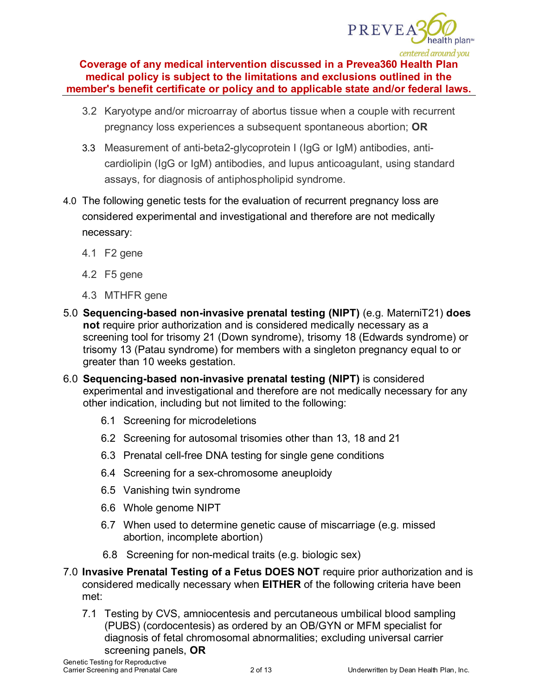

- 3.2 Karyotype and/or microarray of abortus tissue when a couple with recurrent pregnancy loss experiences a subsequent spontaneous abortion; **OR**
- 3.3 Measurement of anti-beta2-glycoprotein I (IgG or IgM) antibodies, anticardiolipin (IgG or IgM) antibodies, and lupus anticoagulant, using standard assays, for diagnosis of antiphospholipid syndrome.
- 4.0 The following genetic tests for the evaluation of recurrent pregnancy loss are considered experimental and investigational and therefore are not medically necessary:
	- 4.1 F2 gene
	- 4.2 F5 gene
	- 4.3 MTHFR gene
- 5.0 **Sequencing-based non-invasive prenatal testing (NIPT)** (e.g. MaterniT21) **does not** require prior authorization and is considered medically necessary as a screening tool for trisomy 21 (Down syndrome), trisomy 18 (Edwards syndrome) or trisomy 13 (Patau syndrome) for members with a singleton pregnancy equal to or greater than 10 weeks gestation.
- 6.0 **Sequencing-based non-invasive prenatal testing (NIPT)** is considered experimental and investigational and therefore are not medically necessary for any other indication, including but not limited to the following:
	- 6.1 Screening for microdeletions
	- 6.2 Screening for autosomal trisomies other than 13, 18 and 21
	- 6.3 Prenatal cell-free DNA testing for single gene conditions
	- 6.4 Screening for a sex-chromosome aneuploidy
	- 6.5 Vanishing twin syndrome
	- 6.6 Whole genome NIPT
	- 6.7 When used to determine genetic cause of miscarriage (e.g. missed abortion, incomplete abortion)
	- 6.8 Screening for non-medical traits (e.g. biologic sex)
- 7.0 **Invasive Prenatal Testing of a Fetus DOES NOT** require prior authorization and is considered medically necessary when **EITHER** of the following criteria have been met:
	- 7.1 Testing by CVS, amniocentesis and percutaneous umbilical blood sampling (PUBS) (cordocentesis) as ordered by an OB/GYN or MFM specialist for diagnosis of fetal chromosomal abnormalities; excluding universal carrier screening panels, **OR**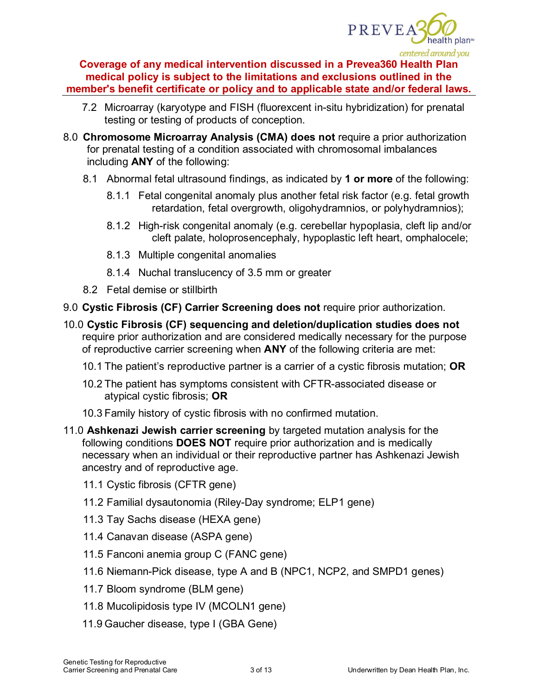

- 7.2 Microarray (karyotype and FISH (fluorexcent in-situ hybridization) for prenatal testing or testing of products of conception.
- 8.0 **Chromosome Microarray Analysis (CMA) does not** require a prior authorization for prenatal testing of a condition associated with chromosomal imbalances including **ANY** of the following:
	- 8.1 Abnormal fetal ultrasound findings, as indicated by **1 or more** of the following:
		- 8.1.1 Fetal congenital anomaly plus another fetal risk factor (e.g. fetal growth retardation, fetal overgrowth, oligohydramnios, or polyhydramnios);
		- 8.1.2 High-risk congenital anomaly (e.g. cerebellar hypoplasia, cleft lip and/or cleft palate, holoprosencephaly, hypoplastic left heart, omphalocele;
		- 8.1.3 Multiple congenital anomalies
		- 8.1.4 Nuchal translucency of 3.5 mm or greater
	- 8.2 Fetal demise or stillbirth
- 9.0 **Cystic Fibrosis (CF) Carrier Screening does not** require prior authorization.
- 10.0 **Cystic Fibrosis (CF) sequencing and deletion/duplication studies does not**  require prior authorization and are considered medically necessary for the purpose of reproductive carrier screening when **ANY** of the following criteria are met:
	- 10.1 The patient's reproductive partner is a carrier of a cystic fibrosis mutation; **OR**
	- 10.2 The patient has symptoms consistent with CFTR-associated disease or atypical cystic fibrosis; **OR**
	- 10.3 Family history of cystic fibrosis with no confirmed mutation.
- 11.0 **Ashkenazi Jewish carrier screening** by targeted mutation analysis for the following conditions **DOES NOT** require prior authorization and is medically necessary when an individual or their reproductive partner has Ashkenazi Jewish ancestry and of reproductive age.
	- 11.1 Cystic fibrosis (CFTR gene)
	- 11.2 Familial dysautonomia (Riley-Day syndrome; ELP1 gene)
	- 11.3 Tay Sachs disease (HEXA gene)
	- 11.4 Canavan disease (ASPA gene)
	- 11.5 Fanconi anemia group C (FANC gene)
	- 11.6 Niemann-Pick disease, type A and B (NPC1, NCP2, and SMPD1 genes)
	- 11.7 Bloom syndrome (BLM gene)
	- 11.8 Mucolipidosis type IV (MCOLN1 gene)
	- 11.9 Gaucher disease, type I (GBA Gene)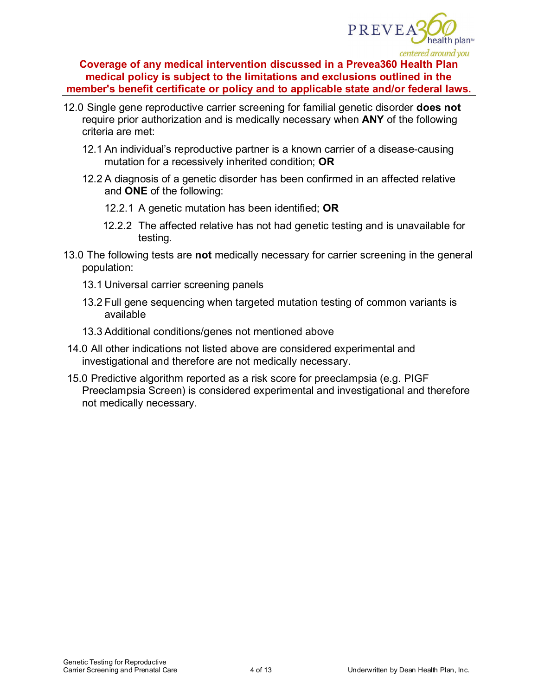

- 12.0 Single gene reproductive carrier screening for familial genetic disorder **does not**  require prior authorization and is medically necessary when **ANY** of the following criteria are met:
	- 12.1 An individual's reproductive partner is a known carrier of a disease-causing mutation for a recessively inherited condition; **OR**
	- 12.2 A diagnosis of a genetic disorder has been confirmed in an affected relative and **ONE** of the following:
		- 12.2.1 A genetic mutation has been identified; **OR**
		- 12.2.2 The affected relative has not had genetic testing and is unavailable for testing.
- 13.0 The following tests are **not** medically necessary for carrier screening in the general population:
	- 13.1 Universal carrier screening panels
	- 13.2 Full gene sequencing when targeted mutation testing of common variants is available
	- 13.3 Additional conditions/genes not mentioned above
- 14.0 All other indications not listed above are considered experimental and investigational and therefore are not medically necessary.
- 15.0 Predictive algorithm reported as a risk score for preeclampsia (e.g. PIGF Preeclampsia Screen) is considered experimental and investigational and therefore not medically necessary.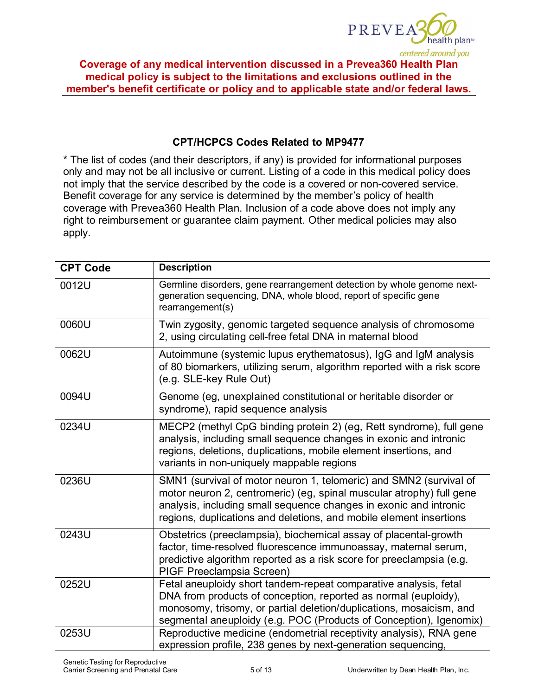

## **CPT/HCPCS Codes Related to MP9477**

\* The list of codes (and their descriptors, if any) is provided for informational purposes only and may not be all inclusive or current. Listing of a code in this medical policy does not imply that the service described by the code is a covered or non-covered service. Benefit coverage for any service is determined by the member's policy of health coverage with Prevea360 Health Plan. Inclusion of a code above does not imply any right to reimbursement or guarantee claim payment. Other medical policies may also apply.

| <b>CPT Code</b> | <b>Description</b>                                                                                                                                                                                                                                                                    |  |  |
|-----------------|---------------------------------------------------------------------------------------------------------------------------------------------------------------------------------------------------------------------------------------------------------------------------------------|--|--|
| 0012U           | Germline disorders, gene rearrangement detection by whole genome next-<br>generation sequencing, DNA, whole blood, report of specific gene<br>rearrangement(s)                                                                                                                        |  |  |
| 0060U           | Twin zygosity, genomic targeted sequence analysis of chromosome<br>2, using circulating cell-free fetal DNA in maternal blood                                                                                                                                                         |  |  |
| 0062U           | Autoimmune (systemic lupus erythematosus), IgG and IgM analysis<br>of 80 biomarkers, utilizing serum, algorithm reported with a risk score<br>(e.g. SLE-key Rule Out)                                                                                                                 |  |  |
| 0094U           | Genome (eg, unexplained constitutional or heritable disorder or<br>syndrome), rapid sequence analysis                                                                                                                                                                                 |  |  |
| 0234U           | MECP2 (methyl CpG binding protein 2) (eg, Rett syndrome), full gene<br>analysis, including small sequence changes in exonic and intronic<br>regions, deletions, duplications, mobile element insertions, and<br>variants in non-uniquely mappable regions                             |  |  |
| 0236U           | SMN1 (survival of motor neuron 1, telomeric) and SMN2 (survival of<br>motor neuron 2, centromeric) (eg, spinal muscular atrophy) full gene<br>analysis, including small sequence changes in exonic and intronic<br>regions, duplications and deletions, and mobile element insertions |  |  |
| 0243U           | Obstetrics (preeclampsia), biochemical assay of placental-growth<br>factor, time-resolved fluorescence immunoassay, maternal serum,<br>predictive algorithm reported as a risk score for preeclampsia (e.g.<br>PIGF Preeclampsia Screen)                                              |  |  |
| 0252U           | Fetal aneuploidy short tandem-repeat comparative analysis, fetal<br>DNA from products of conception, reported as normal (euploidy),<br>monosomy, trisomy, or partial deletion/duplications, mosaicism, and<br>segmental aneuploidy (e.g. POC (Products of Conception), Igenomix)      |  |  |
| 0253U           | Reproductive medicine (endometrial receptivity analysis), RNA gene<br>expression profile, 238 genes by next-generation sequencing,                                                                                                                                                    |  |  |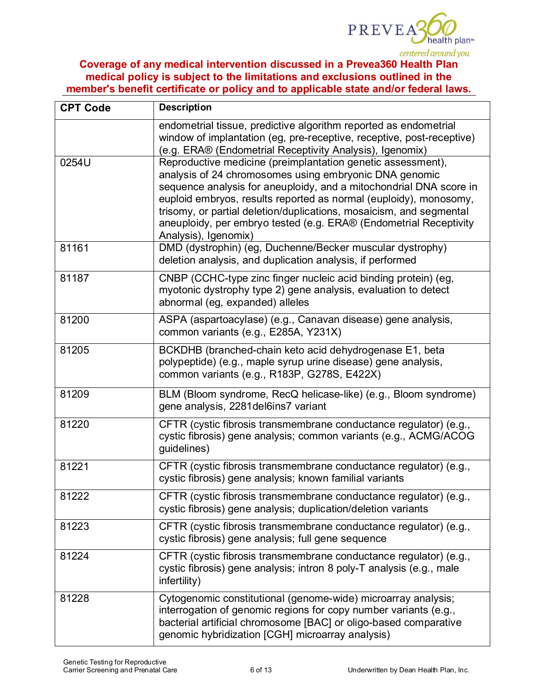

| <b>CPT Code</b> | <b>Description</b>                                                                                                                                                                                                                                                                                                                                                                                                                   |  |
|-----------------|--------------------------------------------------------------------------------------------------------------------------------------------------------------------------------------------------------------------------------------------------------------------------------------------------------------------------------------------------------------------------------------------------------------------------------------|--|
|                 | endometrial tissue, predictive algorithm reported as endometrial<br>window of implantation (eg, pre-receptive, receptive, post-receptive)<br>(e.g. ERA® (Endometrial Receptivity Analysis), Igenomix)                                                                                                                                                                                                                                |  |
| 0254U           | Reproductive medicine (preimplantation genetic assessment),<br>analysis of 24 chromosomes using embryonic DNA genomic<br>sequence analysis for aneuploidy, and a mitochondrial DNA score in<br>euploid embryos, results reported as normal (euploidy), monosomy,<br>trisomy, or partial deletion/duplications, mosaicism, and segmental<br>aneuploidy, per embryo tested (e.g. ERA® (Endometrial Receptivity<br>Analysis), Igenomix) |  |
| 81161           | DMD (dystrophin) (eg, Duchenne/Becker muscular dystrophy)<br>deletion analysis, and duplication analysis, if performed                                                                                                                                                                                                                                                                                                               |  |
| 81187           | CNBP (CCHC-type zinc finger nucleic acid binding protein) (eg,<br>myotonic dystrophy type 2) gene analysis, evaluation to detect<br>abnormal (eg, expanded) alleles                                                                                                                                                                                                                                                                  |  |
| 81200           | ASPA (aspartoacylase) (e.g., Canavan disease) gene analysis,<br>common variants (e.g., E285A, Y231X)                                                                                                                                                                                                                                                                                                                                 |  |
| 81205           | BCKDHB (branched-chain keto acid dehydrogenase E1, beta<br>polypeptide) (e.g., maple syrup urine disease) gene analysis,<br>common variants (e.g., R183P, G278S, E422X)                                                                                                                                                                                                                                                              |  |
| 81209           | BLM (Bloom syndrome, RecQ helicase-like) (e.g., Bloom syndrome)<br>gene analysis, 2281del6ins7 variant                                                                                                                                                                                                                                                                                                                               |  |
| 81220           | CFTR (cystic fibrosis transmembrane conductance regulator) (e.g.,<br>cystic fibrosis) gene analysis; common variants (e.g., ACMG/ACOG<br>guidelines)                                                                                                                                                                                                                                                                                 |  |
| 81221           | CFTR (cystic fibrosis transmembrane conductance regulator) (e.g.,<br>cystic fibrosis) gene analysis; known familial variants                                                                                                                                                                                                                                                                                                         |  |
| 81222           | CFTR (cystic fibrosis transmembrane conductance regulator) (e.g.,<br>cystic fibrosis) gene analysis; duplication/deletion variants                                                                                                                                                                                                                                                                                                   |  |
| 81223           | CFTR (cystic fibrosis transmembrane conductance regulator) (e.g.,<br>cystic fibrosis) gene analysis; full gene sequence                                                                                                                                                                                                                                                                                                              |  |
| 81224           | CFTR (cystic fibrosis transmembrane conductance regulator) (e.g.,<br>cystic fibrosis) gene analysis; intron 8 poly-T analysis (e.g., male<br>infertility)                                                                                                                                                                                                                                                                            |  |
| 81228           | Cytogenomic constitutional (genome-wide) microarray analysis;<br>interrogation of genomic regions for copy number variants (e.g.,<br>bacterial artificial chromosome [BAC] or oligo-based comparative<br>genomic hybridization [CGH] microarray analysis)                                                                                                                                                                            |  |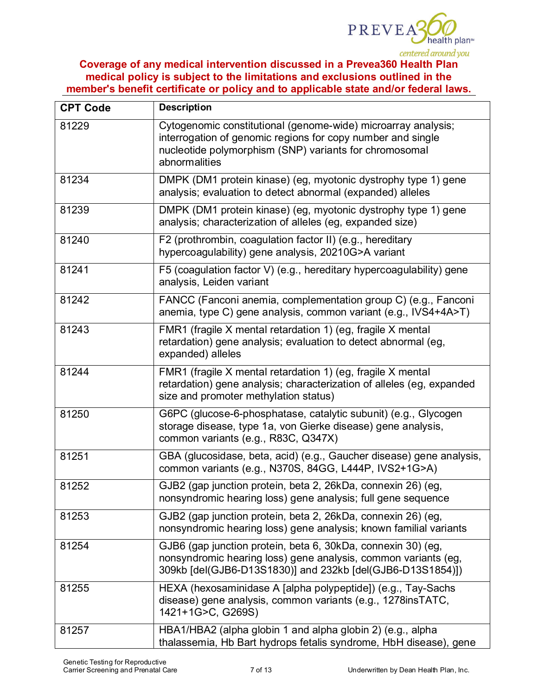

| <b>CPT Code</b> | <b>Description</b>                                                                                                                                                                                      |  |  |
|-----------------|---------------------------------------------------------------------------------------------------------------------------------------------------------------------------------------------------------|--|--|
| 81229           | Cytogenomic constitutional (genome-wide) microarray analysis;<br>interrogation of genomic regions for copy number and single<br>nucleotide polymorphism (SNP) variants for chromosomal<br>abnormalities |  |  |
| 81234           | DMPK (DM1 protein kinase) (eg, myotonic dystrophy type 1) gene<br>analysis; evaluation to detect abnormal (expanded) alleles                                                                            |  |  |
| 81239           | DMPK (DM1 protein kinase) (eg, myotonic dystrophy type 1) gene<br>analysis; characterization of alleles (eg, expanded size)                                                                             |  |  |
| 81240           | F2 (prothrombin, coagulation factor II) (e.g., hereditary<br>hypercoagulability) gene analysis, 20210G>A variant                                                                                        |  |  |
| 81241           | F5 (coagulation factor V) (e.g., hereditary hypercoagulability) gene<br>analysis, Leiden variant                                                                                                        |  |  |
| 81242           | FANCC (Fanconi anemia, complementation group C) (e.g., Fanconi<br>anemia, type C) gene analysis, common variant (e.g., IVS4+4A>T)                                                                       |  |  |
| 81243           | FMR1 (fragile X mental retardation 1) (eg, fragile X mental<br>retardation) gene analysis; evaluation to detect abnormal (eg,<br>expanded) alleles                                                      |  |  |
| 81244           | FMR1 (fragile X mental retardation 1) (eg, fragile X mental<br>retardation) gene analysis; characterization of alleles (eg, expanded<br>size and promoter methylation status)                           |  |  |
| 81250           | G6PC (glucose-6-phosphatase, catalytic subunit) (e.g., Glycogen<br>storage disease, type 1a, von Gierke disease) gene analysis,<br>common variants (e.g., R83C, Q347X)                                  |  |  |
| 81251           | GBA (glucosidase, beta, acid) (e.g., Gaucher disease) gene analysis,<br>common variants (e.g., N370S, 84GG, L444P, IVS2+1G>A)                                                                           |  |  |
| 81252           | GJB2 (gap junction protein, beta 2, 26kDa, connexin 26) (eg,<br>nonsyndromic hearing loss) gene analysis; full gene sequence                                                                            |  |  |
| 81253           | GJB2 (gap junction protein, beta 2, 26kDa, connexin 26) (eg,<br>nonsyndromic hearing loss) gene analysis; known familial variants                                                                       |  |  |
| 81254           | GJB6 (gap junction protein, beta 6, 30kDa, connexin 30) (eg,<br>nonsyndromic hearing loss) gene analysis, common variants (eg,<br>309kb [del(GJB6-D13S1830)] and 232kb [del(GJB6-D13S1854)])            |  |  |
| 81255           | HEXA (hexosaminidase A [alpha polypeptide]) (e.g., Tay-Sachs<br>disease) gene analysis, common variants (e.g., 1278insTATC,<br>1421+1G>C, G269S)                                                        |  |  |
| 81257           | HBA1/HBA2 (alpha globin 1 and alpha globin 2) (e.g., alpha<br>thalassemia, Hb Bart hydrops fetalis syndrome, HbH disease), gene                                                                         |  |  |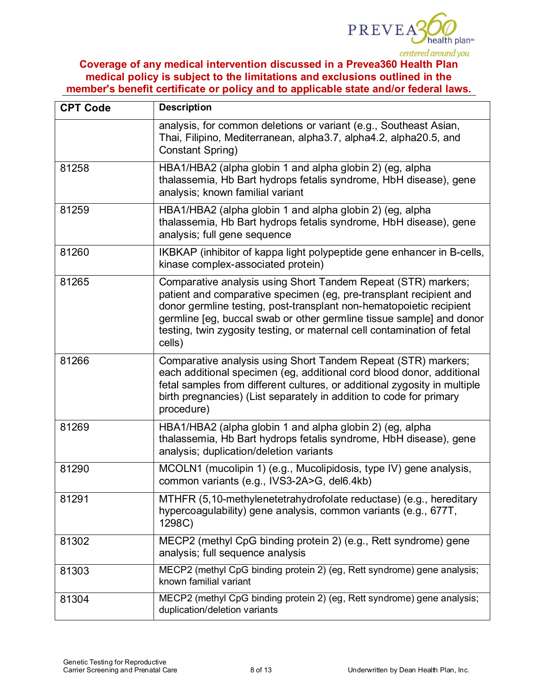

| <b>CPT Code</b> | <b>Description</b>                                                                                                                                                                                                                                                                                                                                                      |  |
|-----------------|-------------------------------------------------------------------------------------------------------------------------------------------------------------------------------------------------------------------------------------------------------------------------------------------------------------------------------------------------------------------------|--|
|                 | analysis, for common deletions or variant (e.g., Southeast Asian,<br>Thai, Filipino, Mediterranean, alpha3.7, alpha4.2, alpha20.5, and<br>Constant Spring)                                                                                                                                                                                                              |  |
| 81258           | HBA1/HBA2 (alpha globin 1 and alpha globin 2) (eg, alpha<br>thalassemia, Hb Bart hydrops fetalis syndrome, HbH disease), gene<br>analysis; known familial variant                                                                                                                                                                                                       |  |
| 81259           | HBA1/HBA2 (alpha globin 1 and alpha globin 2) (eg, alpha<br>thalassemia, Hb Bart hydrops fetalis syndrome, HbH disease), gene<br>analysis; full gene sequence                                                                                                                                                                                                           |  |
| 81260           | IKBKAP (inhibitor of kappa light polypeptide gene enhancer in B-cells,<br>kinase complex-associated protein)                                                                                                                                                                                                                                                            |  |
| 81265           | Comparative analysis using Short Tandem Repeat (STR) markers;<br>patient and comparative specimen (eg, pre-transplant recipient and<br>donor germline testing, post-transplant non-hematopoietic recipient<br>germline [eg, buccal swab or other germline tissue sample] and donor<br>testing, twin zygosity testing, or maternal cell contamination of fetal<br>cells) |  |
| 81266           | Comparative analysis using Short Tandem Repeat (STR) markers;<br>each additional specimen (eg, additional cord blood donor, additional<br>fetal samples from different cultures, or additional zygosity in multiple<br>birth pregnancies) (List separately in addition to code for primary<br>procedure)                                                                |  |
| 81269           | HBA1/HBA2 (alpha globin 1 and alpha globin 2) (eg, alpha<br>thalassemia, Hb Bart hydrops fetalis syndrome, HbH disease), gene<br>analysis; duplication/deletion variants                                                                                                                                                                                                |  |
| 81290           | MCOLN1 (mucolipin 1) (e.g., Mucolipidosis, type IV) gene analysis,<br>common variants (e.g., IVS3-2A>G, del6.4kb)                                                                                                                                                                                                                                                       |  |
| 81291           | MTHFR (5,10-methylenetetrahydrofolate reductase) (e.g., hereditary<br>hypercoagulability) gene analysis, common variants (e.g., 677T,<br>1298C)                                                                                                                                                                                                                         |  |
| 81302           | MECP2 (methyl CpG binding protein 2) (e.g., Rett syndrome) gene<br>analysis; full sequence analysis                                                                                                                                                                                                                                                                     |  |
| 81303           | MECP2 (methyl CpG binding protein 2) (eg, Rett syndrome) gene analysis;<br>known familial variant                                                                                                                                                                                                                                                                       |  |
| 81304           | MECP2 (methyl CpG binding protein 2) (eg, Rett syndrome) gene analysis;<br>duplication/deletion variants                                                                                                                                                                                                                                                                |  |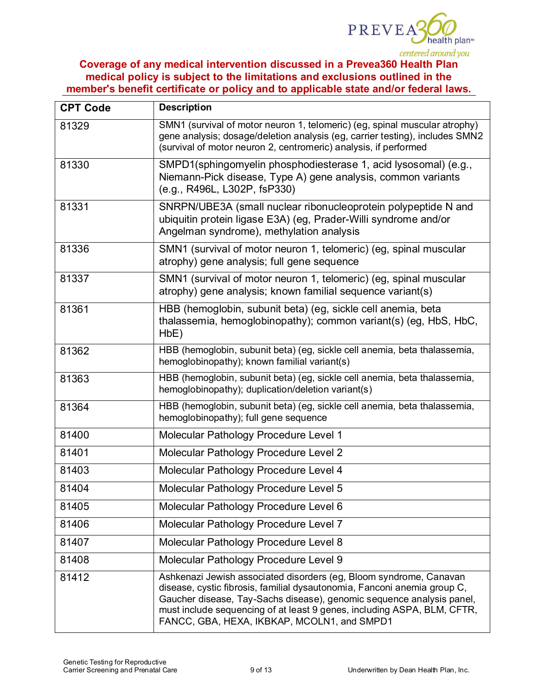

| <b>CPT Code</b> | <b>Description</b>                                                                                                                                                                                                                                                                                                                                |  |  |
|-----------------|---------------------------------------------------------------------------------------------------------------------------------------------------------------------------------------------------------------------------------------------------------------------------------------------------------------------------------------------------|--|--|
| 81329           | SMN1 (survival of motor neuron 1, telomeric) (eg, spinal muscular atrophy)<br>gene analysis; dosage/deletion analysis (eg, carrier testing), includes SMN2<br>(survival of motor neuron 2, centromeric) analysis, if performed                                                                                                                    |  |  |
| 81330           | SMPD1(sphingomyelin phosphodiesterase 1, acid lysosomal) (e.g.,<br>Niemann-Pick disease, Type A) gene analysis, common variants<br>(e.g., R496L, L302P, fsP330)                                                                                                                                                                                   |  |  |
| 81331           | SNRPN/UBE3A (small nuclear ribonucleoprotein polypeptide N and<br>ubiquitin protein ligase E3A) (eg, Prader-Willi syndrome and/or<br>Angelman syndrome), methylation analysis                                                                                                                                                                     |  |  |
| 81336           | SMN1 (survival of motor neuron 1, telomeric) (eg, spinal muscular<br>atrophy) gene analysis; full gene sequence                                                                                                                                                                                                                                   |  |  |
| 81337           | SMN1 (survival of motor neuron 1, telomeric) (eg, spinal muscular<br>atrophy) gene analysis; known familial sequence variant(s)                                                                                                                                                                                                                   |  |  |
| 81361           | HBB (hemoglobin, subunit beta) (eg, sickle cell anemia, beta<br>thalassemia, hemoglobinopathy); common variant(s) (eg, HbS, HbC,<br>HbE)                                                                                                                                                                                                          |  |  |
| 81362           | HBB (hemoglobin, subunit beta) (eg, sickle cell anemia, beta thalassemia,<br>hemoglobinopathy); known familial variant(s)                                                                                                                                                                                                                         |  |  |
| 81363           | HBB (hemoglobin, subunit beta) (eg, sickle cell anemia, beta thalassemia,<br>hemoglobinopathy); duplication/deletion variant(s)                                                                                                                                                                                                                   |  |  |
| 81364           | HBB (hemoglobin, subunit beta) (eg, sickle cell anemia, beta thalassemia,<br>hemoglobinopathy); full gene sequence                                                                                                                                                                                                                                |  |  |
| 81400           | Molecular Pathology Procedure Level 1                                                                                                                                                                                                                                                                                                             |  |  |
| 81401           | Molecular Pathology Procedure Level 2                                                                                                                                                                                                                                                                                                             |  |  |
| 81403           | Molecular Pathology Procedure Level 4                                                                                                                                                                                                                                                                                                             |  |  |
| 81404           | Molecular Pathology Procedure Level 5                                                                                                                                                                                                                                                                                                             |  |  |
| 81405           | Molecular Pathology Procedure Level 6                                                                                                                                                                                                                                                                                                             |  |  |
| 81406           | Molecular Pathology Procedure Level 7                                                                                                                                                                                                                                                                                                             |  |  |
| 81407           | Molecular Pathology Procedure Level 8                                                                                                                                                                                                                                                                                                             |  |  |
| 81408           | Molecular Pathology Procedure Level 9                                                                                                                                                                                                                                                                                                             |  |  |
| 81412           | Ashkenazi Jewish associated disorders (eg, Bloom syndrome, Canavan<br>disease, cystic fibrosis, familial dysautonomia, Fanconi anemia group C,<br>Gaucher disease, Tay-Sachs disease), genomic sequence analysis panel,<br>must include sequencing of at least 9 genes, including ASPA, BLM, CFTR,<br>FANCC, GBA, HEXA, IKBKAP, MCOLN1, and SMPD1 |  |  |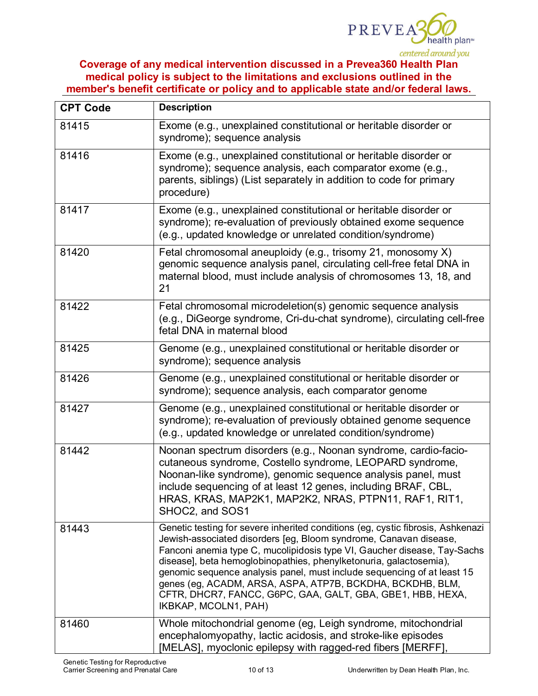

| <b>CPT Code</b> | <b>Description</b>                                                                                                                                                                                                                                                                                                                                                                                                                                                                                                                   |  |  |
|-----------------|--------------------------------------------------------------------------------------------------------------------------------------------------------------------------------------------------------------------------------------------------------------------------------------------------------------------------------------------------------------------------------------------------------------------------------------------------------------------------------------------------------------------------------------|--|--|
| 81415           | Exome (e.g., unexplained constitutional or heritable disorder or<br>syndrome); sequence analysis                                                                                                                                                                                                                                                                                                                                                                                                                                     |  |  |
| 81416           | Exome (e.g., unexplained constitutional or heritable disorder or<br>syndrome); sequence analysis, each comparator exome (e.g.,<br>parents, siblings) (List separately in addition to code for primary<br>procedure)                                                                                                                                                                                                                                                                                                                  |  |  |
| 81417           | Exome (e.g., unexplained constitutional or heritable disorder or<br>syndrome); re-evaluation of previously obtained exome sequence<br>(e.g., updated knowledge or unrelated condition/syndrome)                                                                                                                                                                                                                                                                                                                                      |  |  |
| 81420           | Fetal chromosomal aneuploidy (e.g., trisomy 21, monosomy X)<br>genomic sequence analysis panel, circulating cell-free fetal DNA in<br>maternal blood, must include analysis of chromosomes 13, 18, and<br>21                                                                                                                                                                                                                                                                                                                         |  |  |
| 81422           | Fetal chromosomal microdeletion(s) genomic sequence analysis<br>(e.g., DiGeorge syndrome, Cri-du-chat syndrome), circulating cell-free<br>fetal DNA in maternal blood                                                                                                                                                                                                                                                                                                                                                                |  |  |
| 81425           | Genome (e.g., unexplained constitutional or heritable disorder or<br>syndrome); sequence analysis                                                                                                                                                                                                                                                                                                                                                                                                                                    |  |  |
| 81426           | Genome (e.g., unexplained constitutional or heritable disorder or<br>syndrome); sequence analysis, each comparator genome                                                                                                                                                                                                                                                                                                                                                                                                            |  |  |
| 81427           | Genome (e.g., unexplained constitutional or heritable disorder or<br>syndrome); re-evaluation of previously obtained genome sequence<br>(e.g., updated knowledge or unrelated condition/syndrome)                                                                                                                                                                                                                                                                                                                                    |  |  |
| 81442           | Noonan spectrum disorders (e.g., Noonan syndrome, cardio-facio-<br>cutaneous syndrome, Costello syndrome, LEOPARD syndrome,<br>Noonan-like syndrome), genomic sequence analysis panel, must<br>include sequencing of at least 12 genes, including BRAF, CBL,<br>HRAS, KRAS, MAP2K1, MAP2K2, NRAS, PTPN11, RAF1, RIT1,<br>SHOC2, and SOS1                                                                                                                                                                                             |  |  |
| 81443           | Genetic testing for severe inherited conditions (eg, cystic fibrosis, Ashkenazi<br>Jewish-associated disorders [eg, Bloom syndrome, Canavan disease,<br>Fanconi anemia type C, mucolipidosis type VI, Gaucher disease, Tay-Sachs<br>disease], beta hemoglobinopathies, phenylketonuria, galactosemia),<br>genomic sequence analysis panel, must include sequencing of at least 15<br>genes (eg, ACADM, ARSA, ASPA, ATP7B, BCKDHA, BCKDHB, BLM,<br>CFTR, DHCR7, FANCC, G6PC, GAA, GALT, GBA, GBE1, HBB, HEXA,<br>IKBKAP, MCOLN1, PAH) |  |  |
| 81460           | Whole mitochondrial genome (eg, Leigh syndrome, mitochondrial<br>encephalomyopathy, lactic acidosis, and stroke-like episodes<br>[MELAS], myoclonic epilepsy with ragged-red fibers [MERFF],                                                                                                                                                                                                                                                                                                                                         |  |  |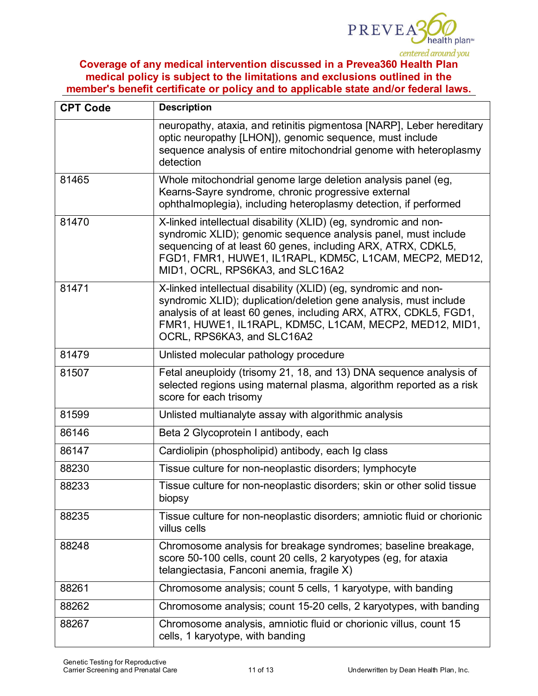

| <b>CPT Code</b> | <b>Description</b>                                                                                                                                                                                                                                                                                |  |  |
|-----------------|---------------------------------------------------------------------------------------------------------------------------------------------------------------------------------------------------------------------------------------------------------------------------------------------------|--|--|
|                 | neuropathy, ataxia, and retinitis pigmentosa [NARP], Leber hereditary<br>optic neuropathy [LHON]), genomic sequence, must include<br>sequence analysis of entire mitochondrial genome with heteroplasmy<br>detection                                                                              |  |  |
| 81465           | Whole mitochondrial genome large deletion analysis panel (eg,<br>Kearns-Sayre syndrome, chronic progressive external<br>ophthalmoplegia), including heteroplasmy detection, if performed                                                                                                          |  |  |
| 81470           | X-linked intellectual disability (XLID) (eg, syndromic and non-<br>syndromic XLID); genomic sequence analysis panel, must include<br>sequencing of at least 60 genes, including ARX, ATRX, CDKL5,<br>FGD1, FMR1, HUWE1, IL1RAPL, KDM5C, L1CAM, MECP2, MED12,<br>MID1, OCRL, RPS6KA3, and SLC16A2  |  |  |
| 81471           | X-linked intellectual disability (XLID) (eg, syndromic and non-<br>syndromic XLID); duplication/deletion gene analysis, must include<br>analysis of at least 60 genes, including ARX, ATRX, CDKL5, FGD1,<br>FMR1, HUWE1, IL1RAPL, KDM5C, L1CAM, MECP2, MED12, MID1,<br>OCRL, RPS6KA3, and SLC16A2 |  |  |
| 81479           | Unlisted molecular pathology procedure                                                                                                                                                                                                                                                            |  |  |
| 81507           | Fetal aneuploidy (trisomy 21, 18, and 13) DNA sequence analysis of<br>selected regions using maternal plasma, algorithm reported as a risk<br>score for each trisomy                                                                                                                              |  |  |
| 81599           | Unlisted multianalyte assay with algorithmic analysis                                                                                                                                                                                                                                             |  |  |
| 86146           | Beta 2 Glycoprotein I antibody, each                                                                                                                                                                                                                                                              |  |  |
| 86147           | Cardiolipin (phospholipid) antibody, each Ig class                                                                                                                                                                                                                                                |  |  |
| 88230           | Tissue culture for non-neoplastic disorders; lymphocyte                                                                                                                                                                                                                                           |  |  |
| 88233           | Tissue culture for non-neoplastic disorders; skin or other solid tissue<br>biopsy                                                                                                                                                                                                                 |  |  |
| 88235           | Tissue culture for non-neoplastic disorders; amniotic fluid or chorionic<br>villus cells                                                                                                                                                                                                          |  |  |
| 88248           | Chromosome analysis for breakage syndromes; baseline breakage,<br>score 50-100 cells, count 20 cells, 2 karyotypes (eg, for ataxia<br>telangiectasia, Fanconi anemia, fragile X)                                                                                                                  |  |  |
| 88261           | Chromosome analysis; count 5 cells, 1 karyotype, with banding                                                                                                                                                                                                                                     |  |  |
| 88262           | Chromosome analysis; count 15-20 cells, 2 karyotypes, with banding                                                                                                                                                                                                                                |  |  |
| 88267           | Chromosome analysis, amniotic fluid or chorionic villus, count 15<br>cells, 1 karyotype, with banding                                                                                                                                                                                             |  |  |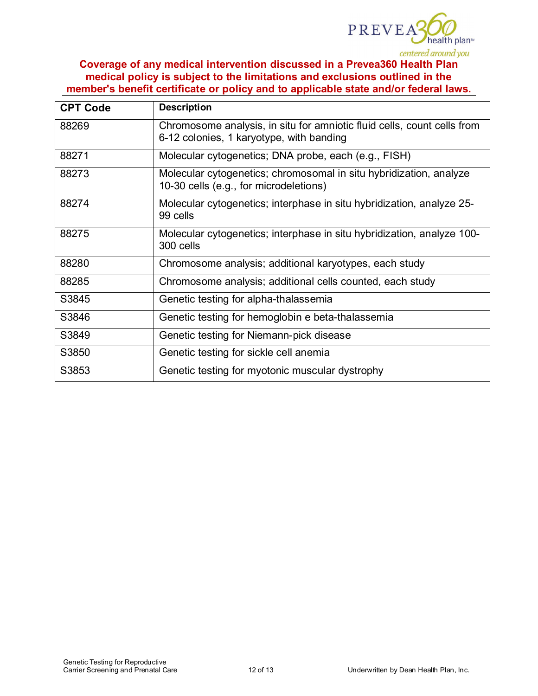

| <b>CPT Code</b> | <b>Description</b>                                                                                                  |  |
|-----------------|---------------------------------------------------------------------------------------------------------------------|--|
| 88269           | Chromosome analysis, in situ for amniotic fluid cells, count cells from<br>6-12 colonies, 1 karyotype, with banding |  |
| 88271           | Molecular cytogenetics; DNA probe, each (e.g., FISH)                                                                |  |
| 88273           | Molecular cytogenetics; chromosomal in situ hybridization, analyze<br>10-30 cells (e.g., for microdeletions)        |  |
| 88274           | Molecular cytogenetics; interphase in situ hybridization, analyze 25-<br>99 cells                                   |  |
| 88275           | Molecular cytogenetics; interphase in situ hybridization, analyze 100-<br>300 cells                                 |  |
| 88280           | Chromosome analysis; additional karyotypes, each study                                                              |  |
| 88285           | Chromosome analysis; additional cells counted, each study                                                           |  |
| S3845           | Genetic testing for alpha-thalassemia                                                                               |  |
| S3846           | Genetic testing for hemoglobin e beta-thalassemia                                                                   |  |
| S3849           | Genetic testing for Niemann-pick disease                                                                            |  |
| S3850           | Genetic testing for sickle cell anemia                                                                              |  |
| S3853           | Genetic testing for myotonic muscular dystrophy                                                                     |  |